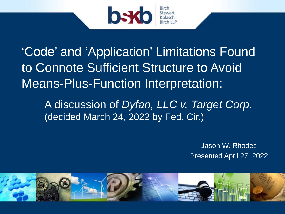

'Code' and 'Application' Limitations Found to Connote Sufficient Structure to Avoid Means-Plus-Function Interpretation:

A discussion of *Dyfan, LLC v. Target Corp.* (decided March 24, 2022 by Fed. Cir.)

> Jason W. Rhodes Presented April 27, 2022

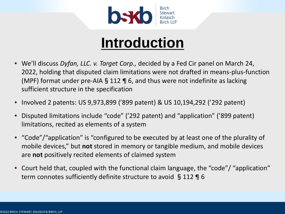

#### **Introduction**

- We'll discuss *Dyfan, LLC. v. Target Corp.,* decided by a Fed Cir panel on March 24, 2022, holding that disputed claim limitations were not drafted in means-plus-function (MPF) format under pre-AIA § 112  $\P$  6, and thus were not indefinite as lacking sufficient structure in the specification
- Involved 2 patents: US 9,973,899 ('899 patent) & US 10,194,292 ('292 patent)
- Disputed limitations include "code" ('292 patent) and "application" ('899 patent) limitations, recited as elements of a system
- "Code"/"application" is "configured to be executed by at least one of the plurality of mobile devices," but **not** stored in memory or tangible medium, and mobile devices are **not** positively recited elements of claimed system
- Court held that, coupled with the functional claim language, the "code"/ "application" term connotes sufficiently definite structure to avoid §112 ¶ 6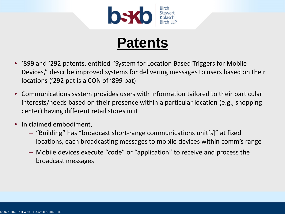

#### **Patents**

- '899 and '292 patents, entitled "System for Location Based Triggers for Mobile Devices," describe improved systems for delivering messages to users based on their locations ('292 pat is a CON of '899 pat)
- Communications system provides users with information tailored to their particular interests/needs based on their presence within a particular location (e.g., shopping center) having different retail stores in it
- In claimed embodiment,
	- "Building" has "broadcast short-range communications unit[s]" at fixed locations, each broadcasting messages to mobile devices within comm's range
	- Mobile devices execute "code" or "application" to receive and process the broadcast messages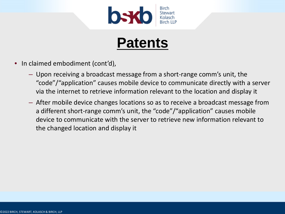

#### **Patents**

- In claimed embodiment (cont'd),
	- Upon receiving a broadcast message from a short-range comm's unit, the "code"/"application" causes mobile device to communicate directly with a server via the internet to retrieve information relevant to the location and display it
	- After mobile device changes locations so as to receive a broadcast message from a different short-range comm's unit, the "code"/"application" causes mobile device to communicate with the server to retrieve new information relevant to the changed location and display it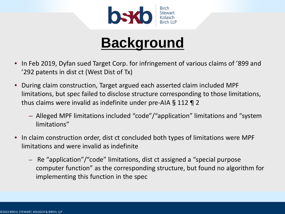

#### **Background**

- In Feb 2019, Dyfan sued Target Corp. for infringement of various claims of '899 and '292 patents in dist ct (West Dist of Tx)
- During claim construction, Target argued each asserted claim included MPF limitations, but spec failed to disclose structure corresponding to those limitations, thus claims were invalid as indefinite under pre-AIA§112 ¶ 2
	- Alleged MPF limitations included "code"/"application" limitations and "system limitations"
- In claim construction order, dist ct concluded both types of limitations were MPF limitations and were invalid as indefinite
	- Re "application"/"code" limitations, dist ct assigned a "special purpose computer function" as the corresponding structure, but found no algorithm for implementing this function in the spec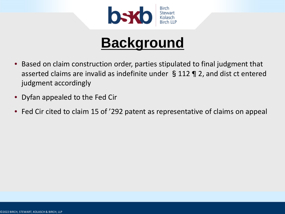

#### **Background**

- Based on claim construction order, parties stipulated to final judgment that asserted claims are invalid as indefinite under §112 ¶ 2, and dist ct entered judgment accordingly
- Dyfan appealed to the Fed Cir
- Fed Cir cited to claim 15 of '292 patent as representative of claims on appeal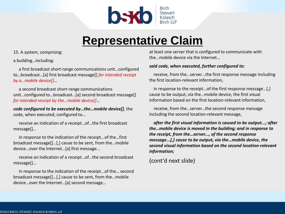

#### **Representative Claim**

15. A system, comprising:

a building…including:

a first broadcast short-range communications unit…configured to…broadcast…[a] first broadcast message[] *for intended receipt by a…mobile device[]*…

a second broadcast short-range communications unit…configured to…broadcast…[a] second broadcast message[] *for intended receipt by the…mobile device[]*…

*code configured to be executed by…the…mobile device[]*, the code, when executed, configured to…

receive an indication of a receipt…of…the first broadcast message[]…

in response to the indication of the receipt...of the…first broadcast message[]…[,] cause to be sent, from the…mobile device…over the Internet…[a] first message…

receive an indication of a receipt…of…the second broadcast message[]…

in response to the indication of the receipt...of the… second broadcast message[]…[,] cause to be sent, from the…mobile device…over the Internet…[a] second message…

at least one server that is configured to communicate with the…mobile device via the Internet…

#### *said code, when executed, further configured to:*

receive, from the…server…the first response message including the first location-relevant information,

in response to the receipt...of the first response message…[,] cause to be output, via the…mobile device, the first visual information based on the first location-relevant information,

receive, from the…server...the second response message including the second location-relevant message,

*after the first visual information is caused to be output...; after the…mobile device is moved in the building; and in response to the receipt, from the…server..., of the second response message...[,] cause to be output, via the…mobile device, the second visual information based on the second location-relevant information;*

(cont'd next slide)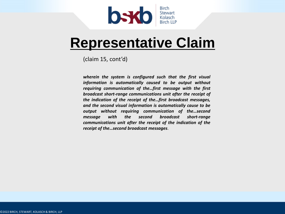

#### **Representative Claim**

(claim 15, cont'd)

*wherein the system is configured such that the first visual information is automatically caused to be output without requiring communication of the…first message with the first broadcast short-range communications unit after the receipt of the indication of the receipt of the…first broadcast messages, and the second visual information is automatically cause to be output without requiring communication of the…second message with the second broadcast short-range communications unit after the receipt of the indication of the receipt of the…second broadcast messages*.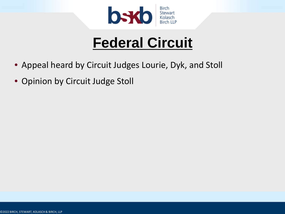

### **Federal Circuit**

- Appeal heard by Circuit Judges Lourie, Dyk, and Stoll
- Opinion by Circuit Judge Stoll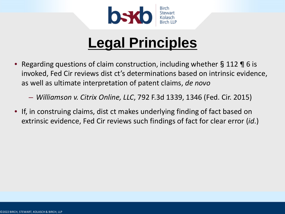

- Regarding questions of claim construction, including whether§112 ¶ 6 is invoked, Fed Cir reviews dist ct's determinations based on intrinsic evidence, as well as ultimate interpretation of patent claims, *de novo*
	- *Williamson v. Citrix Online, LLC*, 792 F.3d 1339, 1346 (Fed. Cir. 2015)
- If, in construing claims, dist ct makes underlying finding of fact based on extrinsic evidence, Fed Cir reviews such findings of fact for clear error (*id*.)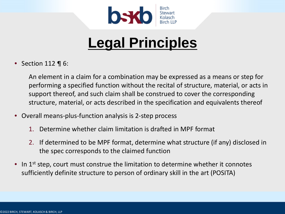

• Section 112 ¶ 6:

An element in a claim for a combination may be expressed as a means or step for performing a specified function without the recital of structure, material, or acts in support thereof, and such claim shall be construed to cover the corresponding structure, material, or acts described in the specification and equivalents thereof

- Overall means-plus-function analysis is 2-step process
	- 1. Determine whether claim limitation is drafted in MPF format
	- 2. If determined to be MPF format, determine what structure (if any) disclosed in the spec corresponds to the claimed function
- In  $1<sup>st</sup>$  step, court must construe the limitation to determine whether it connotes sufficiently definite structure to person of ordinary skill in the art (POSITA)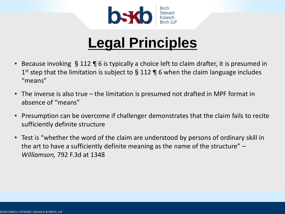

- Because invoking §112 ¶ 6 is typically a choice left to claim drafter, it is presumed in 1<sup>st</sup> step that the limitation is subject to  $\S$  112 ¶ 6 when the claim language includes "means"
- The inverse is also true the limitation is presumed not drafted in MPF format in absence of "means"
- Presumption can be overcome if challenger demonstrates that the claim fails to recite sufficiently definite structure
- Test is "whether the word of the claim are understood by persons of ordinary skill in the art to have a sufficiently definite meaning as the name of the structure" – *Williamson,* 792 F.3d at 1348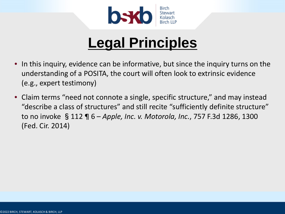

- In this inquiry, evidence can be informative, but since the inquiry turns on the understanding of a POSITA, the court will often look to extrinsic evidence (e.g., expert testimony)
- Claim terms "need not connote a single, specific structure," and may instead "describe a class of structures" and still recite "sufficiently definite structure" to no invoke §112 ¶ 6 – *Apple, Inc. v. Motorola, Inc.*, 757 F.3d 1286, 1300 (Fed. Cir. 2014)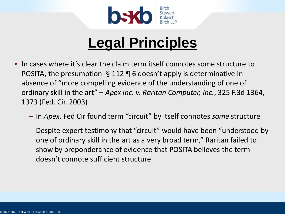

- In cases where it's clear the claim term itself connotes some structure to POSITA, the presumption §112 ¶ 6 doesn't apply is determinative in absence of "more compelling evidence of the understanding of one of ordinary skill in the art" – *Apex Inc. v. Raritan Computer, Inc.*, 325 F.3d 1364, 1373 (Fed. Cir. 2003)
	- In *Apex*, Fed Cir found term "circuit" by itself connotes *some* structure
	- Despite expert testimony that "circuit" would have been "understood by one of ordinary skill in the art as a very broad term," Raritan failed to show by preponderance of evidence that POSITA believes the term doesn't connote sufficient structure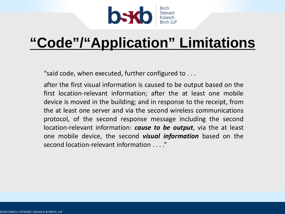

"said code, when executed, further configured to . . .

after the first visual information is caused to be output based on the first location-relevant information; after the at least one mobile device is moved in the building; and in response to the receipt, from the at least one server and via the second wireless communications protocol, of the second response message including the second location-relevant information: *cause to be output*, via the at least one mobile device, the second *visual information* based on the second location-relevant information . . . ."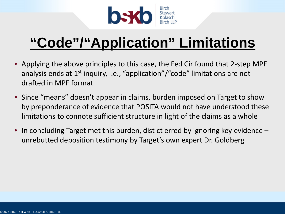

- Applying the above principles to this case, the Fed Cir found that 2-step MPF analysis ends at  $1^{st}$  inquiry, i.e., "application"/"code" limitations are not drafted in MPF format
- Since "means" doesn't appear in claims, burden imposed on Target to show by preponderance of evidence that POSITA would not have understood these limitations to connote sufficient structure in light of the claims as a whole
- In concluding Target met this burden, dist ct erred by ignoring key evidence unrebutted deposition testimony by Target's own expert Dr. Goldberg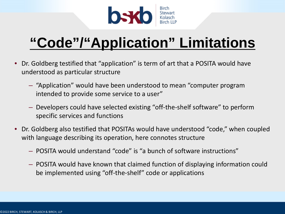

- Dr. Goldberg testified that "application" is term of art that a POSITA would have understood as particular structure
	- "Application" would have been understood to mean "computer program intended to provide some service to a user"
	- Developers could have selected existing "off-the-shelf software" to perform specific services and functions
- Dr. Goldberg also testified that POSITAs would have understood "code," when coupled with language describing its operation, here connotes structure
	- POSITA would understand "code" is "a bunch of software instructions"
	- POSITA would have known that claimed function of displaying information could be implemented using "off-the-shelf" code or applications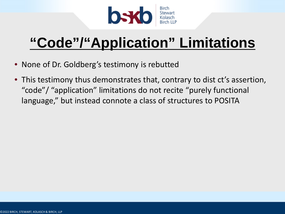

- None of Dr. Goldberg's testimony is rebutted
- This testimony thus demonstrates that, contrary to dist ct's assertion, "code"/ "application" limitations do not recite "purely functional language," but instead connote a class of structures to POSITA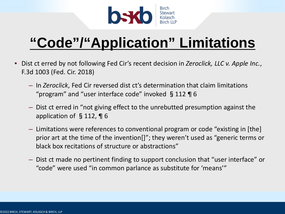

- Dist ct erred by not following Fed Cir's recent decision in *Zeroclick, LLC v. Apple Inc.*, F.3d 1003 (Fed. Cir. 2018)
	- In *Zeroclick*, Fed Cir reversed dist ct's determination that claim limitations "program" and "user interface code" invoked §112 ¶ 6
	- Dist ct erred in "not giving effect to the unrebutted presumption against the application of §112, ¶ 6
	- Limitations were references to conventional program or code "existing in [the] prior art at the time of the invention[]"; they weren't used as "generic terms or black box recitations of structure or abstractions"
	- Dist ct made no pertinent finding to support conclusion that "user interface" or "code" were used "in common parlance as substitute for 'means'"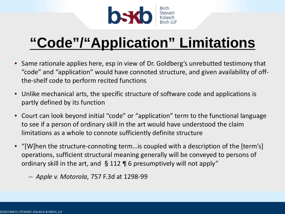

- Same rationale applies here, esp in view of Dr. Goldberg's unrebutted testimony that "code" and "application" would have connoted structure, and given availability of offthe-shelf code to perform recited functions
- Unlike mechanical arts, the specific structure of software code and applications is partly defined by its function
- Court can look beyond initial "code" or "application" term to the functional language to see if a person of ordinary skill in the art would have understood the claim limitations as a whole to connote sufficiently definite structure
- "[W]hen the structure-connoting term…is coupled with a description of the [term's] operations, sufficient structural meaning generally will be conveyed to persons of ordinary skill in the art, and §112 ¶ 6 presumptively will not apply"
	- *Apple v. Motorola*, 757 F.3d at 1298-99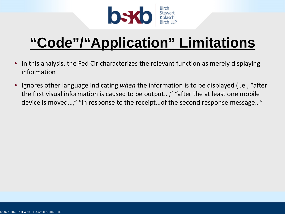

- In this analysis, the Fed Cir characterizes the relevant function as merely displaying information
- Ignores other language indicating *when* the information is to be displayed (i.e., "after the first visual information is caused to be output…," "after the at least one mobile device is moved…," "in response to the receipt…of the second response message…"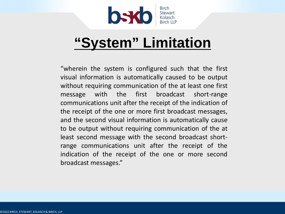

#### **"System" Limitation**

"wherein the system is configured such that the first visual information is automatically caused to be output without requiring communication of the at least one first message with the first broadcast short-range communications unit after the receipt of the indication of the receipt of the one or more first broadcast messages, and the second visual information is automatically cause to be output without requiring communication of the at least second message with the second broadcast shortrange communications unit after the receipt of the indication of the receipt of the one or more second broadcast messages."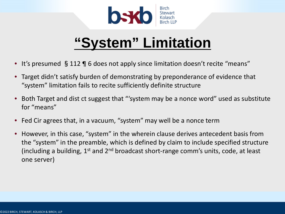

#### **"System" Limitation**

- It's presumed §112 ¶ 6 does not apply since limitation doesn't recite "means"
- Target didn't satisfy burden of demonstrating by preponderance of evidence that "system" limitation fails to recite sufficiently definite structure
- Both Target and dist ct suggest that "'system may be a nonce word" used as substitute for "means"
- Fed Cir agrees that, in a vacuum, "system" may well be a nonce term
- However, in this case, "system" in the wherein clause derives antecedent basis from the "system" in the preamble, which is defined by claim to include specified structure (including a building,  $1^{st}$  and  $2^{nd}$  broadcast short-range comm's units, code, at least one server)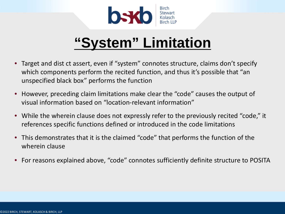

#### **"System" Limitation**

- Target and dist ct assert, even if "system" connotes structure, claims don't specify which components perform the recited function, and thus it's possible that "an unspecified black box" performs the function
- However, preceding claim limitations make clear the "code" causes the output of visual information based on "location-relevant information"
- While the wherein clause does not expressly refer to the previously recited "code," it references specific functions defined or introduced in the code limitations
- This demonstrates that it is the claimed "code" that performs the function of the wherein clause
- For reasons explained above, "code" connotes sufficiently definite structure to POSITA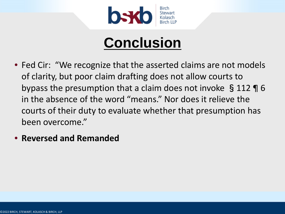

## **Conclusion**

- Fed Cir: "We recognize that the asserted claims are not models of clarity, but poor claim drafting does not allow courts to bypass the presumption that a claim does not invoke §112 ¶ 6 in the absence of the word "means." Nor does it relieve the courts of their duty to evaluate whether that presumption has been overcome."
- **Reversed and Remanded**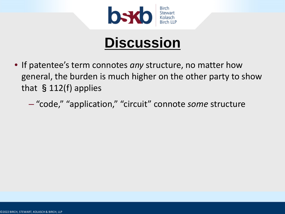

- If patentee's term connotes *any* structure, no matter how general, the burden is much higher on the other party to show that §112(f) applies
	- "code," "application," "circuit" connote *some* structure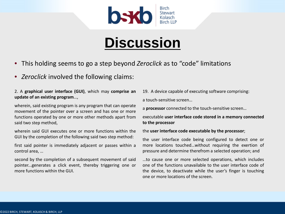

- This holding seems to go a step beyond *Zeroclick* as to "code" limitations
- *Zeroclick* involved the following claims:

#### 2. A **graphical user interface (GUI)**, which may **comprise an update of an existing program**…,

wherein, said existing program is any program that can operate movement of the pointer over a screen and has one or more functions operated by one or more other methods apart from said two step method,

wherein said GUI executes one or more functions within the GUI by the completion of the following said two step method:

first said pointer is immediately adjacent or passes within a control area, …

second by the completion of a subsequent movement of said pointer...generates a click event, thereby triggering one or more functions within the GUI.

19. A device capable of executing software comprising: a touch-sensitive screen…

a **processor** connected to the touch-sensitive screen…

#### executable **user interface code stored in a memory connected to the processor**

#### the **user interface code executable by the processor**;

the user interface code being configured to detect one or more locations touched…without requiring the exertion of pressure and determine therefrom a selected operation; and

…to cause one or more selected operations, which includes one of the functions unavailable to the user interface code of the device, to deactivate while the user's finger is touching one or more locations of the screen.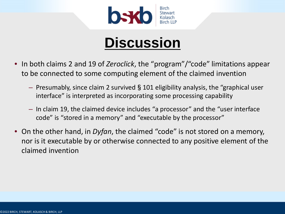

- In both claims 2 and 19 of *Zeroclick*, the "program"/"code" limitations appear to be connected to some computing element of the claimed invention
	- Presumably, since claim 2 survived§101 eligibility analysis, the "graphical user interface" is interpreted as incorporating some processing capability
	- In claim 19, the claimed device includes "a processor" and the "user interface code" is "stored in a memory" and "executable by the processor"
- On the other hand, in *Dyfan*, the claimed "code" is not stored on a memory, nor is it executable by or otherwise connected to any positive element of the claimed invention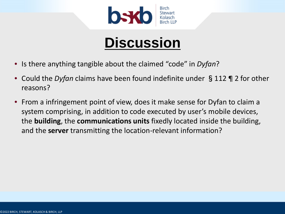

- Is there anything tangible about the claimed "code" in *Dyfan*?
- Could the *Dyfan* claims have been found indefinite under §112 ¶ 2 for other reasons?
- From a infringement point of view, does it make sense for Dyfan to claim a system comprising, in addition to code executed by user's mobile devices, the **building**, the **communications units** fixedly located inside the building, and the **server** transmitting the location-relevant information?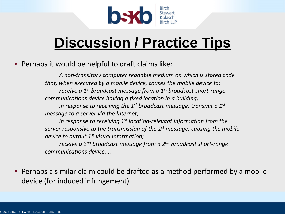

#### **Discussion / Practice Tips**

• Perhaps it would be helpful to draft claims like:

*A non-transitory computer readable medium on which is stored code that, when executed by a mobile device, causes the mobile device to: receive a 1st broadcast message from a 1st broadcast short-range communications device having a fixed location in a building;*

*in response to receiving the 1st broadcast message, transmit a 1st message to a server via the Internet;* 

*in response to receiving 1st location-relevant information from the server responsive to the transmission of the 1st message, causing the mobile device to output 1st visual information;*

*receive a 2nd broadcast message from a 2nd broadcast short-range communications device....*

• Perhaps a similar claim could be drafted as a method performed by a mobile device (for induced infringement)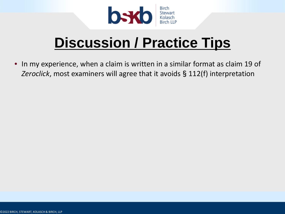

#### **Discussion / Practice Tips**

• In my experience, when a claim is written in a similar format as claim 19 of *Zeroclick*, most examiners will agree that it avoids§112(f) interpretation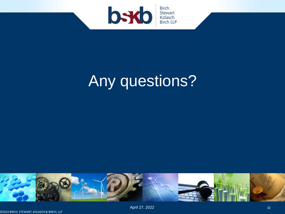

# Any questions?